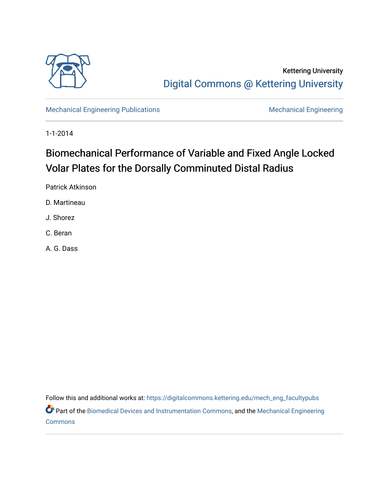

Kettering University [Digital Commons @ Kettering University](https://digitalcommons.kettering.edu/) 

[Mechanical Engineering Publications](https://digitalcommons.kettering.edu/mech_eng_facultypubs) [Mechanical Engineering](https://digitalcommons.kettering.edu/mech_eng) Mechanical Engineering

1-1-2014

# Biomechanical Performance of Variable and Fixed Angle Locked Volar Plates for the Dorsally Comminuted Distal Radius

Patrick Atkinson

D. Martineau

- J. Shorez
- C. Beran

A. G. Dass

Follow this and additional works at: [https://digitalcommons.kettering.edu/mech\\_eng\\_facultypubs](https://digitalcommons.kettering.edu/mech_eng_facultypubs?utm_source=digitalcommons.kettering.edu%2Fmech_eng_facultypubs%2F55&utm_medium=PDF&utm_campaign=PDFCoverPages)

Part of the [Biomedical Devices and Instrumentation Commons,](http://network.bepress.com/hgg/discipline/235?utm_source=digitalcommons.kettering.edu%2Fmech_eng_facultypubs%2F55&utm_medium=PDF&utm_campaign=PDFCoverPages) and the Mechanical Engineering **[Commons](http://network.bepress.com/hgg/discipline/293?utm_source=digitalcommons.kettering.edu%2Fmech_eng_facultypubs%2F55&utm_medium=PDF&utm_campaign=PDFCoverPages)**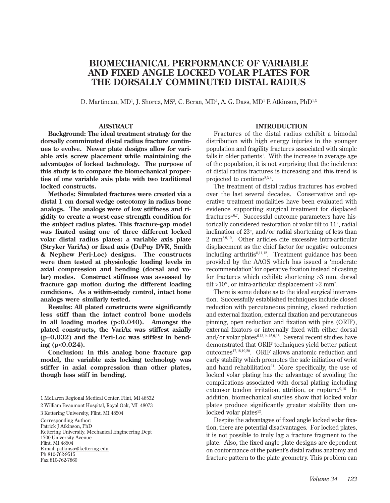# **BIOMECHANICAL PERFORMANCE OF VARIABLE AND FIXED ANGLE LOCKED VOLAR PLATES FOR THE DORSALLY COMMINUTED DISTAL RADIUS**

D. Martineau, MD<sup>1</sup>, J. Shorez, MS<sup>2</sup>, C. Beran, MD<sup>1</sup>, A. G. Dass, MD<sup>1</sup> P. Atkinson, PhD<sup>1,3</sup>

#### **ABSTRACT**

**Background: The ideal treatment strategy for the dorsally comminuted distal radius fracture continues to evolve. Newer plate designs allow for variable axis screw placement while maintaining the advantages of locked technology. The purpose of this study is to compare the biomechanical properties of one variable axis plate with two traditional locked constructs.** 

**Methods: Simulated fractures were created via a distal 1 cm dorsal wedge osteotomy in radius bone analogs. The analogs were of low stiffness and rigidity to create a worst-case strength condition for the subject radius plates. This fracture-gap model was fixated using one of three different locked volar distal radius plates: a variable axis plate (Stryker VariAx) or fixed axis (DePuy DVR, Smith & Nephew Peri-Loc) designs. The constructs were then tested at physiologic loading levels in axial compression and bending (dorsal and volar) modes. Construct stiffness was assessed by fracture gap motion during the different loading conditions. As a within-study control, intact bone analogs were similarly tested.** 

**Results: All plated constructs were significantly less stiff than the intact control bone models**  in all loading modes (p<0.040). Amongst the **plated constructs, the VariAx was stiffest axially (p=0.032) and the Peri-Loc was stiffest in bending (p<0.024).** 

**Conclusion: In this analog bone fracture gap model, the variable axis locking technology was stiffer in axial compression than other plates, though less stiff in bending.** 

Patrick J Atkinson, PhD

Flint, MI 48504

E-mail: patkinso@kettering.edu

Ph 810-762-9515

#### **INTRODUCTION**

Fractures of the distal radius exhibit a bimodal distribution with high energy injuries in the younger population and fragility fractures associated with simple falls in older patients<sup>1</sup>. With the increase in average age of the population, it is not surprising that the incidence of distal radius fractures is increasing and this trend is projected to continue<sup>2,3,4</sup>.

The treatment of distal radius fractures has evolved over the last several decades. Conservative and operative treatment modalities have been evaluated with evidence supporting surgical treatment for displaced fractures5,6,7. Successful outcome parameters have historically considered restoration of volar tilt to 11○, radial inclination of 23○, and/or radial shortening of less than 2 mm8,9,10. Other articles cite excessive intra-articular displacement as the chief factor for negative outcomes including arthritis<sup>8,11,12</sup>. Treatment guidance has been provided by the AAOS which has issued a 'moderate recommendation' for operative fixation instead of casting for fractures which exhibit: shortening >3 mm, dorsal tilt >10°, or intra-articular displacement >2 mm7 .

There is some debate as to the ideal surgical intervention. Successfully established techniques include closed reduction with percutaneous pinning, closed reduction and external fixation, external fixation and percutaneous pinning, open reduction and fixation with pins (ORIF), external fixators or internally fixed with either dorsal and/or volar plates<sup>6,13,14,15,9,16</sup>. Several recent studies have demonstrated that ORIF techniques yield better patient outcomes17,18,19,20. ORIF allows anatomic reduction and early stability which promotes the safe initiation of wrist and hand rehabilitation<sup>21</sup>. More specifically, the use of locked volar plating has the advantage of avoiding the complications associated with dorsal plating including extensor tendon irritation, attrition, or rupture.<sup>9,16</sup> In addition, biomechanical studies show that locked volar plates produce significantly greater stability than unlocked volar plates $22$ .

Despite the advantages of fixed angle locked volar fixation, there are potential disadvantages. For locked plates, it is not possible to truly lag a fracture fragment to the plate. Also, the fixed angle plate designs are dependent on conformance of the patient's distal radius anatomy and fracture pattern to the plate geometry. This problem can

<sup>1</sup> McLaren Regional Medical Center, Flint, MI 48532

<sup>2</sup> William Beaumont Hospital, Royal Oak, MI 48073

<sup>3</sup> Kettering University, Flint, MI 48504

Corresponding Author:

Kettering University, Mechanical Engineering Dept 1700 University Avenue

Fax 810-762-7860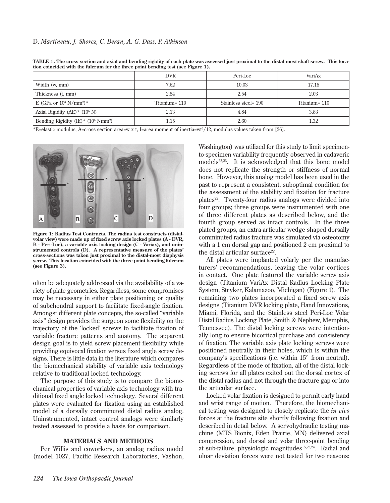|                                                   | <b>DVR</b>    | Peri-Loc             | VariAx        |
|---------------------------------------------------|---------------|----------------------|---------------|
| Width (w, mm)                                     | 7.62          | 10.03                | 17.15         |
| Thickness (t, mm)                                 | 2.54          | 2.54                 | 2.03          |
| E (GPa or $10^3$ N/mm <sup>2</sup> ) <sup>*</sup> | Titanium= 110 | Stainless steel= 190 | Titanium= 110 |
| Axial Rigidity (AE) $*$ (10 <sup>6</sup> N)       | 2.13          | 4.84                 | 3.83          |
| Bending Rigidity (IE) $*(10^6 \text{ Nmm}^2)$     | 1.15          | 2.60                 | 1.32          |

**TABLE 1. The cross section and axial and bending rigidity of each plate was assessed just proximal to the distal most shaft screw. This location coincided with the fulcrum for the three point bending test (see Figure 1).** 

\*E=elastic modulus, A=cross section area=w x t, I=area moment of inertia=wt3 /12, modulus values taken from [26].



**Figure 1: Radius Test Contructs. The radius test constructs (distalvolar view) were made up of fixed screw axis locked plates (A - DVR, B - Peri-Loc), a variable axis locking design (C - Variax), and uninstrumented controls (D). A representative measure of the plates' cross-sections was taken just proximal to the distal-most diaphysis screw. This location coincided with the three point bending fulcrum (see Figure 3).** 

often be adequately addressed via the availability of a variety of plate geometries. Regardless, some compromises may be necessary in either plate positioning or quality of subchondral support to facilitate fixed-angle fixation. Amongst different plate concepts, the so-called "variable axis" design provides the surgeon some flexibility on the trajectory of the 'locked' screws to facilitate fixation of variable fracture patterns and anatomy. The apparent design goal is to yield screw placement flexibility while providing equivocal fixation versus fixed angle screw designs. There is little data in the literature which compares the biomechanical stability of variable axis technology relative to traditional locked technology.

The purpose of this study is to compare the biomechanical properties of variable axis technology with traditional fixed angle locked technology. Several different plates were evaluated for fixation using an established model of a dorsally comminuted distal radius analog. Uninstrumented, intact control analogs were similarly tested assessed to provide a basis for comparison.

#### **MATERIALS AND METHODS**

Per Willis and coworkers, an analog radius model (model 1027, Pacific Research Laboratories, Vashon,

Washington) was utilized for this study to limit specimento-specimen variability frequently observed in cadaveric models<sup>22,23</sup>. It is acknowledged that this bone model does not replicate the strength or stiffness of normal bone. However, this analog model has been used in the past to represent a consistent, suboptimal condition for the assessment of the stability and fixation for fracture plates $^{22}$ . Twenty-four radius analogs were divided into four groups; three groups were instrumented with one of three different plates as described below, and the fourth group served as intact controls. In the three plated groups, an extra-articular wedge shaped dorsally comminuted radius fracture was simulated via osteotomy with a 1 cm dorsal gap and positioned 2 cm proximal to the distal articular surface<sup>22</sup>.

All plates were implanted volarly per the manufacturers' recommendations, leaving the volar cortices in contact. One plate featured the variable screw axis design (Titanium VariAx Distal Radius Locking Plate System, Stryker, Kalamazoo, Michigan) (Figure 1). The remaining two plates incorporated a fixed screw axis designs (Titanium DVR locking plate, Hand Innovations, Miami, Florida, and the Stainless steel Peri-Loc Volar Distal Radius Locking Plate, Smith & Nephew, Memphis, Tennessee). The distal locking screws were intentionally long to ensure bicortical purchase and consistency of fixation. The variable axis plate locking screws were positioned neutrally in their holes, which is within the company's specifications (i.e. within 15° from neutral). Regardless of the mode of fixation, all of the distal locking screws for all plates exited out the dorsal cortex of the distal radius and not through the fracture gap or into the articular surface.

Locked volar fixation is designed to permit early hand and wrist range of motion. Therefore, the biomechanical testing was designed to closely replicate the *in vivo*  forces at the fracture site shortly following fixation and described in detail below. A servohydraulic testing machine (MTS Bionix, Eden Prairie, MN) delivered axial compression, and dorsal and volar three-point bending at sub-failure, physiologic magnitudes<sup>15,22,24</sup>. Radial and ulnar deviation forces were not tested for two reasons: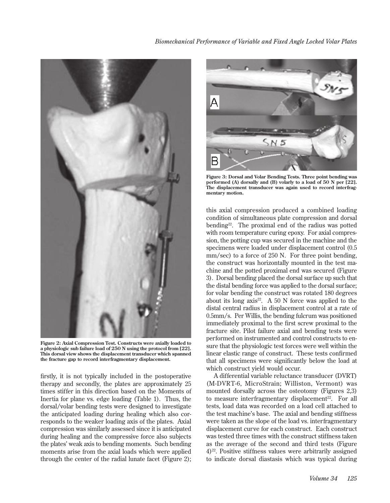

**Figure 2: Axial Compression Test. Constructs were axially loaded to a physiologic sub failure load of 250 N using the protocol from [22]. This dorsal view shows the displacement transducer which spanned the fracture gap to record interfragmentary displacement.**

firstly, it is not typically included in the postoperative therapy and secondly, the plates are approximately 25 times stiffer in this direction based on the Moments of Inertia for plane vs. edge loading (Table 1). Thus, the dorsal/volar bending tests were designed to investigate the anticipated loading during healing which also corresponds to the weaker loading axis of the plates. Axial compression was similarly assessed since it is anticipated during healing and the compressive force also subjects the plates' weak axis to bending moments. Such bending moments arise from the axial loads which were applied through the center of the radial lunate facet (Figure 2);



**Figure 3: Dorsal and Volar Bending Tests. Three point bending was performed (A) dorsally and (B) volarly to a load of 50 N per [22]. The displacement transducer was again used to record interfragmentary motion.** 

this axial compression produced a combined loading condition of simultaneous plate compression and dorsal bending<sup>22</sup>. The proximal end of the radius was potted with room temperature curing epoxy. For axial compression, the potting cup was secured in the machine and the specimens were loaded under displacement control (0.5 mm/sec) to a force of 250 N. For three point bending, the construct was horizontally mounted in the test machine and the potted proximal end was secured (Figure 3). Dorsal bending placed the dorsal surface up such that the distal bending force was applied to the dorsal surface; for volar bending the construct was rotated 180 degrees about its long  $axis^{22}$ . A 50 N force was applied to the distal central radius in displacement control at a rate of 0.5mm/s. Per Willis, the bending fulcrum was positioned immediately proximal to the first screw proximal to the fracture site. Pilot failure axial and bending tests were performed on instrumented and control constructs to ensure that the physiologic test forces were well within the linear elastic range of construct. These tests confirmed that all specimens were significantly below the load at which construct yield would occur.

A differential variable reluctance transducer (DVRT) (M-DVRT-6, MicroStrain; Williston, Vermont) was mounted dorsally across the osteotomy (Figures 2,3) to measure interfragmentary displacement<sup>22</sup>. For all tests, load data was recorded on a load cell attached to the test machine's base. The axial and bending stiffness were taken as the slope of the load vs. interfragmentary displacement curve for each construct. Each construct was tested three times with the construct stiffness taken as the average of the second and third tests (Figure  $4)^{22}$ . Positive stiffness values were arbitrarily assigned to indicate dorsal diastasis which was typical during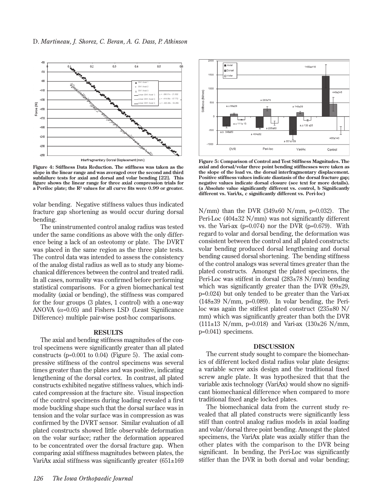

**A EXECUTE IS SOPE in the linear range and was averaged over the second and third in the slope of the load and dependent of**  $P_{\text{rel}}$  **is a positive stiffness we Figure 4: Stiffness Data Reduction. The stiffness was taken as the subfailure tests for axial and dorsal and volar bending [22]. This figure shows the linear range for three axial compression trials for a Periloc plate; the R2 values for all curve fits were 0.99 or greater.** 

volar bending. Negative stiffness values thus indicated fracture gap shortening as would occur during dorsal bending.

The uninstrumented control analog radius was tested under the same conditions as above with the only difference being a lack of an osteotomy or plate. The DVRT was placed in the same region as the three plate tests. The control data was intended to assess the consistency of the analog distal radius as well as to study any biomechanical differences between the control and treated radii. In all cases, normality was confirmed before performing statistical comparisons. For a given biomechanical test modality (axial or bending), the stiffness was compared for the four groups (3 plates, 1 control) with a one-way ANOVA  $(\alpha=0.05)$  and Fishers LSD (Least Significance Difference) multiple pair-wise post-hoc comparisons.

### **RESULTS**

The axial and bending stiffness magnitudes of the control specimens were significantly greater than all plated constructs (p=0.001 to 0.04) (Figure 5). The axial compressive stiffness of the control specimens was several times greater than the plates and was positive, indicating lengthening of the dorsal cortex. In contrast, all plated constructs exhibited negative stiffness values, which indicated compression at the fracture site. Visual inspection of the control specimens during loading revealed a first mode buckling shape such that the dorsal surface was in tension and the volar surface was in compression as was confirmed by the DVRT sensor. Similar evaluation of all plated constructs showed little observable deformation on the volar surface; rather the deformation appeared to be concentrated over the dorsal fracture gap. When comparing axial stiffness magnitudes between plates, the VariAx axial stiffness was significantly greater  $(651\pm169)$ 



**Figure 5: Comparison of Control and Test Stiffness Magnitudes. The axial and dorsal/volar three point bending stiffnesses were taken as the slope of the load vs. the dorsal interfragmentary displacement. Positive stiffness values indicate diastasis of the dorsal fracture gap; negative values indicate dorsal closure (see text for more details). (a Absolute value significantly different vs. control, b Significantly different vs. VariAx, c significantly different vs. Peri-loc)**

 $N/mm$ ) than the DVR  $(349±60 \text{ N/mm}, \text{p}=0.032)$ . The Peri-Loc  $(404\pm32 \text{ N/mm})$  was not significantly different vs. the Vari-ax (p=0.074) nor the DVR (p=0.679). With regard to volar and dorsal bending, the deformation was consistent between the control and all plated constructs: volar bending produced dorsal lengthening and dorsal bending caused dorsal shortening. The bending stiffness of the control analogs was several times greater than the plated constructs. Amongst the plated specimens, the Peri-Loc was stiffest in dorsal (283±78 N/mm) bending which was significantly greater than the DVR  $(99\pm29,$ p=0.024) but only tended to be greater than the Vari-ax  $(148\pm39 \text{ N/mm}, \text{p=0.089})$ . In volar bending, the Periloc was again the stiffest plated construct (235±80 N/ mm) which was significantly greater than both the DVR  $(111\pm13 \text{ N/mm}, \text{ p=0.018})$  and Vari-ax  $(130\pm26 \text{ N/mm}, \text{ p=0.018})$ p=0.041) specimens.

#### **DISCUSSION**

The current study sought to compare the biomechanics of different locked distal radius volar plate designs: a variable screw axis design and the traditional fixed screw angle plate. It was hypothesized that that the variable axis technology (VariAx) would show no significant biomechanical difference when compared to more traditional fixed angle locked plates.

The biomechanical data from the current study revealed that all plated constructs were significantly less stiff than control analog radius models in axial loading and volar/dorsal three point bending. Amongst the plated specimens, the VariAx plate was axially stiffer than the other plates with the comparison to the DVR being significant. In bending, the Peri-Loc was significantly stiffer than the DVR in both dorsal and volar bending;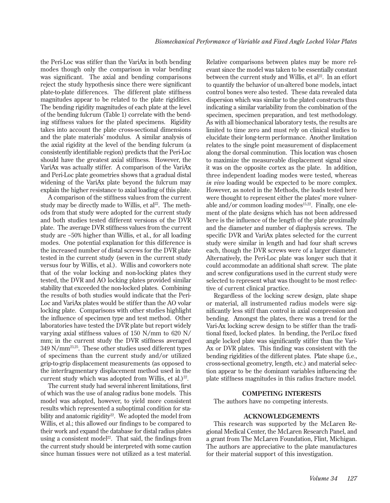the Peri-Loc was stiffer than the VariAx in both bending modes though only the comparison in volar bending was significant. The axial and bending comparisons reject the study hypothesis since there were significant plate-to-plate differences. The different plate stiffness magnitudes appear to be related to the plate rigidities. The bending rigidity magnitudes of each plate at the level of the bending fulcrum (Table 1) correlate with the bending stiffness values for the plated specimens. Rigidity takes into account the plate cross-sectional dimensions and the plate materials' modulus. A similar analysis of the axial rigidity at the level of the bending fulcrum (a consistently identifiable region) predicts that the Peri-Loc should have the greatest axial stiffness. However, the VariAx was actually stiffer. A comparison of the VariAx and Peri-Loc plate geometries shows that a gradual distal widening of the VariAx plate beyond the fulcrum may explain the higher resistance to axial loading of this plate.

A comparison of the stiffness values from the current study may be directly made to Willis, et al<sup>22</sup>. The methods from that study were adopted for the current study and both studies tested different versions of the DVR plate. The average DVR stiffness values from the current study are ~50% higher than Willis, et al., for all loading modes. One potential explanation for this difference is the increased number of distal screws for the DVR plate tested in the current study (seven in the current study versus four by Willis, et al.). Willis and coworkers note that of the volar locking and non-locking plates they tested, the DVR and AO locking plates provided similar stability that exceeded the non-locked plates. Combining the results of both studies would indicate that the Peri-Loc and VariAx plates would be stiffer than the AO volar locking plate. Comparisons with other studies highlight the influence of specimen type and test method. Other laboratories have tested the DVR plate but report widely varying axial stiffness values of 150 N/mm to 620 N/ mm; in the current study the DVR stiffness averaged 349 N/mm23,25. These other studies used different types of specimens than the current study and/or utilized grip-to-grip displacement measurements (as opposed to the interfragmentary displacement method used in the current study which was adopted from Willis, et al.)<sup>22</sup>.

The current study had several inherent limitations, first of which was the use of analog radius bone models. This model was adopted, however, to yield more consistent results which represented a suboptimal condition for stability and anatomic rigidity $22$ . We adopted the model from Willis, et al.; this allowed our findings to be compared to their work and expand the database for distal radius plates using a consistent model<sup>22</sup>. That said, the findings from the current study should be interpreted with some caution since human tissues were not utilized as a test material.

Relative comparisons between plates may be more relevant since the model was taken to be essentially constant between the current study and Willis, et al<sup>22</sup>. In an effort to quantify the behavior of un-altered bone models, intact control bones were also tested. These data revealed data dispersion which was similar to the plated constructs thus indicating a similar variability from the combination of the specimen, specimen preparation, and test methodology. As with all biomechanical laboratory tests, the results are limited to time zero and must rely on clinical studies to elucidate their long-term performance. Another limitation relates to the single point measurement of displacement along the dorsal comminution. This location was chosen to maximize the measureable displacement signal since it was on the opposite cortex as the plate. In addition, three independent loading modes were tested, whereas *in vivo* loading would be expected to be more complex. However, as noted in the Methods, the loads tested here were thought to represent either the plates' more vulnerable and/or common loading modes $15,22$ . Finally, one element of the plate designs which has not been addressed here is the influence of the length of the plate proximally and the diameter and number of diaphysis screws. The specific DVR and VariAx plates selected for the current study were similar in length and had four shaft screws each, though the DVR screws were of a larger diameter. Alternatively, the Peri-Loc plate was longer such that it could accommodate an additional shaft screw. The plate and screw configurations used in the current study were selected to represent what was thought to be most reflective of current clinical practice.

Regardless of the locking screw design, plate shape or material, all instrumented radius models were significantly less stiff than control in axial compression and bending. Amongst the plates, there was a trend for the Vari-Ax locking screw design to be stiffer than the traditional fixed, locked plates. In bending, the PeriLoc fixed angle locked plate was significantly stiffer than the Vari-Ax or DVR plates. This finding was consistent with the bending rigidities of the different plates. Plate shape (i.e., cross-sectional geometry, length, etc.) and material selection appear to be the dominant variables influencing the plate stiffness magnitudes in this radius fracture model.

#### **COMPETING INTERESTS**

The authors have no competing interests.

## **ACKNOWLEDGEMENTS**

This research was supported by the McLaren Regional Medical Center, the McLaren Research Panel, and a grant from The McLaren Foundation, Flint, Michigan. The authors are appreciative to the plate manufactures for their material support of this investigation.